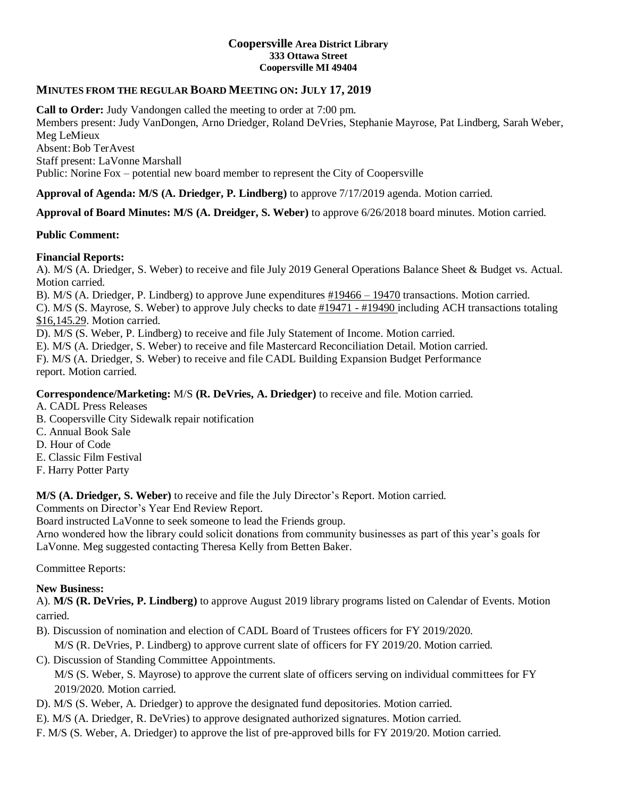#### **Coopersville Area District Library 333 Ottawa Street Coopersville MI 49404**

## **MINUTES FROM THE REGULAR BOARD MEETING ON: JULY 17, 2019**

**Call to Order:** Judy Vandongen called the meeting to order at 7:00 pm.

Members present: Judy VanDongen, Arno Driedger, Roland DeVries, Stephanie Mayrose, Pat Lindberg, Sarah Weber, Meg LeMieux

Absent: Bob TerAvest Staff present: LaVonne Marshall

Public: Norine Fox – potential new board member to represent the City of Coopersville

**Approval of Agenda: M/S (A. Driedger, P. Lindberg)** to approve 7/17/2019 agenda. Motion carried.

**Approval of Board Minutes: M/S (A. Dreidger, S. Weber)** to approve 6/26/2018 board minutes. Motion carried.

#### **Public Comment:**

### **Financial Reports:**

A). M/S (A. Driedger, S. Weber) to receive and file July 2019 General Operations Balance Sheet & Budget vs. Actual. Motion carried.

B). M/S (A. Driedger, P. Lindberg) to approve June expenditures #19466 – 19470 transactions. Motion carried.

C). M/S (S. Mayrose, S. Weber) to approve July checks to date #19471 - #19490 including ACH transactions totaling \$16,145.29. Motion carried.

D). M/S (S. Weber, P. Lindberg) to receive and file July Statement of Income. Motion carried.

E). M/S (A. Driedger, S. Weber) to receive and file Mastercard Reconciliation Detail. Motion carried.

F). M/S (A. Driedger, S. Weber) to receive and file CADL Building Expansion Budget Performance report. Motion carried.

#### **Correspondence/Marketing:** M/S **(R. DeVries, A. Driedger)** to receive and file. Motion carried.

- A. CADL Press Releases
- B. Coopersville City Sidewalk repair notification
- C. Annual Book Sale
- D. Hour of Code
- E. Classic Film Festival
- F. Harry Potter Party

**M/S (A. Driedger, S. Weber)** to receive and file the July Director's Report. Motion carried.

Comments on Director's Year End Review Report.

Board instructed LaVonne to seek someone to lead the Friends group.

Arno wondered how the library could solicit donations from community businesses as part of this year's goals for LaVonne. Meg suggested contacting Theresa Kelly from Betten Baker.

Committee Reports:

#### **New Business:**

A). **M/S (R. DeVries, P. Lindberg)** to approve August 2019 library programs listed on Calendar of Events. Motion carried.

- B). Discussion of nomination and election of CADL Board of Trustees officers for FY 2019/2020.
- M/S (R. DeVries, P. Lindberg) to approve current slate of officers for FY 2019/20. Motion carried.
- C). Discussion of Standing Committee Appointments.

M/S (S. Weber, S. Mayrose) to approve the current slate of officers serving on individual committees for FY 2019/2020. Motion carried.

- D). M/S (S. Weber, A. Driedger) to approve the designated fund depositories. Motion carried.
- E). M/S (A. Driedger, R. DeVries) to approve designated authorized signatures. Motion carried.
- F. M/S (S. Weber, A. Driedger) to approve the list of pre-approved bills for FY 2019/20. Motion carried.